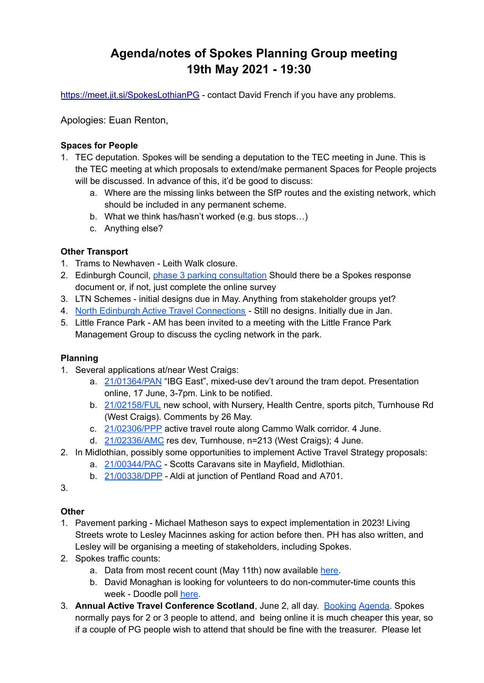# **Agenda/notes of Spokes Planning Group meeting 19th May 2021 - 19:30**

<https://meet.jit.si/SpokesLothianPG> - contact David French if you have any problems.

Apologies: Euan Renton,

#### **Spaces for People**

- 1. TEC deputation. Spokes will be sending a deputation to the TEC meeting in June. This is the TEC meeting at which proposals to extend/make permanent Spaces for People projects will be discussed. In advance of this, it'd be good to discuss:
	- a. Where are the missing links between the SfP routes and the existing network, which should be included in any permanent scheme.
	- b. What we think has/hasn't worked (e.g. bus stops…)
	- c. Anything else?

### **Other Transport**

- 1. Trams to Newhaven Leith Walk closure.
- 2. Edinburgh Council, phase 3 parking [consultation](https://consultprojectcentre.co.uk/parkingph3) Should there be a Spokes response document or, if not, just complete the online survey
- 3. LTN Schemes initial designs due in May. Anything from stakeholder groups yet?
- 4. North Edinburgh Active Travel [Connections](https://neatconnections.commonplace.is/about) Still no designs. Initially due in Jan.
- 5. Little France Park AM has been invited to a meeting with the Little France Park Management Group to discuss the cycling network in the park.

### **Planning**

- 1. Several applications at/near West Craigs:
	- a. [21/01364/PAN](https://citydev-portal.edinburgh.gov.uk/idoxpa-web/applicationDetails.do?activeTab=documents&keyVal=QQ21BLEW0XE00) "IBG East", mixed-use dev't around the tram depot. Presentation online, 17 June, 3-7pm. Link to be notified.
	- b. [21/02158/FUL](https://citydev-portal.edinburgh.gov.uk/idoxpa-web/applicationDetails.do?activeTab=documents&keyVal=QRWJKXEWIJI00) new school, with Nursery, Health Centre, sports pitch, Turnhouse Rd (West Craigs). Comments by 26 May.
	- c. [21/02306/PPP](https://citydev-portal.edinburgh.gov.uk/idoxpa-web/applicationDetails.do?activeTab=documents&keyVal=QS9I78EWJJR00) active travel route along Cammo Walk corridor. 4 June.
	- d. [21/02336/AMC](https://citydev-portal.edinburgh.gov.uk/idoxpa-web/applicationDetails.do?activeTab=documents&keyVal=QSBCVMEWJQU00) res dev, Turnhouse, n=213 (West Craigs); 4 June.
- 2. In Midlothian, possibly some opportunities to implement Active Travel Strategy proposals:
	- a. [21/00344/PAC](https://planning-applications.midlothian.gov.uk/OnlinePlanning/applicationDetails.do?activeTab=documents&keyVal=QSBHZKKV0B600) Scotts Caravans site in Mayfield, Midlothian.
	- b. [21/00338/DPP](https://planning-applications.midlothian.gov.uk/OnlinePlanning/applicationDetails.do?activeTab=documents&keyVal=QS99TCKVMJG00) Aldi at junction of Pentland Road and A701.

3.

### **Other**

- 1. Pavement parking Michael Matheson says to expect implementation in 2023! Living Streets wrote to Lesley Macinnes asking for action before then. PH has also written, and Lesley will be organising a meeting of stakeholders, including Spokes.
- 2. Spokes traffic counts:
	- a. Data from most recent count (May 11th) now available [here.](http://www.spokes.org.uk/documents/papers-documents/spokes-traffic-counts/)
	- b. David Monaghan is looking for volunteers to do non-commuter-time counts this week - Doodle poll [here](https://doodle.com/poll/pam4ctfm4x48e8vm?utm_source=poll&utm_medium=link).
- 3. **Annual Active Travel Conference Scotland**, June 2, all day. [Booking](https://www.eventbrite.co.uk/e/national-active-travel-conference-2021-tickets-146489037655) [Agenda.](http://www.walkcycleconnect.org/agenda.html) Spokes normally pays for 2 or 3 people to attend, and being online it is much cheaper this year, so if a couple of PG people wish to attend that should be fine with the treasurer. Please let